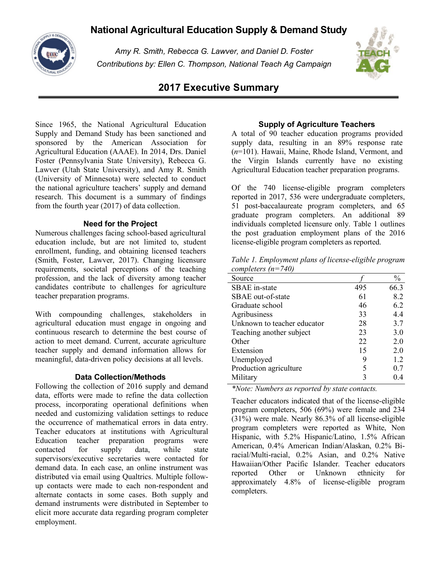# **National Agricultural Education Supply & Demand Study**



*Amy R. Smith, Rebecca G. Lawver, and Daniel D. Foster Contributions by: Ellen C. Thompson, National Teach Ag Campaign*



## **2017 Executive Summary**

Since 1965, the National Agricultural Education Supply and Demand Study has been sanctioned and sponsored by the American Association for Agricultural Education (AAAE). In 2014, Drs. Daniel Foster (Pennsylvania State University), Rebecca G. Lawver (Utah State University), and Amy R. Smith (University of Minnesota) were selected to conduct the national agriculture teachers' supply and demand research. This document is a summary of findings from the fourth year (2017) of data collection.

## **Need for the Project**

Numerous challenges facing school-based agricultural education include, but are not limited to, student enrollment, funding, and obtaining licensed teachers (Smith, Foster, Lawver, 2017). Changing licensure requirements, societal perceptions of the teaching profession, and the lack of diversity among teacher candidates contribute to challenges for agriculture teacher preparation programs.

With compounding challenges, stakeholders in agricultural education must engage in ongoing and continuous research to determine the best course of action to meet demand. Current, accurate agriculture teacher supply and demand information allows for meaningful, data-driven policy decisions at all levels.

#### **Data Collection/Methods**

Following the collection of 2016 supply and demand data, efforts were made to refine the data collection process, incorporating operational definitions when needed and customizing validation settings to reduce the occurrence of mathematical errors in data entry. Teacher educators at institutions with Agricultural Education teacher preparation programs were contacted for supply data, while state supervisors/executive secretaries were contacted for demand data. In each case, an online instrument was distributed via email using Qualtrics. Multiple followup contacts were made to each non-respondent and alternate contacts in some cases. Both supply and demand instruments were distributed in September to elicit more accurate data regarding program completer employment.

## **Supply of Agriculture Teachers**

A total of 90 teacher education programs provided supply data, resulting in an 89% response rate (*n*=101). Hawaii, Maine, Rhode Island, Vermont, and the Virgin Islands currently have no existing Agricultural Education teacher preparation programs.

Of the 740 license-eligible program completers reported in 2017, 536 were undergraduate completers, 51 post-baccalaureate program completers, and 65 graduate program completers. An additional 89 individuals completed licensure only. Table 1 outlines the post graduation employment plans of the 2016 license-eligible program completers as reported.

| Table 1. Employment plans of license-eligible program |
|-------------------------------------------------------|
| completers $(n=740)$                                  |

| Source                      |     | $\frac{0}{0}$ |
|-----------------------------|-----|---------------|
| <b>SBAE</b> in-state        | 495 | 66.3          |
| SBAE out-of-state           | 61  | 8.2           |
| Graduate school             | 46  | 6.2           |
| Agribusiness                | 33  | 4.4           |
| Unknown to teacher educator | 28  | 3.7           |
| Teaching another subject    | 23  | 3.0           |
| Other                       | 22  | 2.0           |
| Extension                   | 15  | 2.0           |
| Unemployed                  | 9   | 1.2           |
| Production agriculture      | 5   | 0.7           |
| Military                    | 3   | 0.4           |

*\*Note: Numbers as reported by state contacts.*

Teacher educators indicated that of the license-eligible program completers, 506 (69%) were female and 234 (31%) were male. Nearly 86.3% of all license-eligible program completers were reported as White, Non Hispanic, with 5.2% Hispanic/Latino, 1.5% African American, 0.4% American Indian/Alaskan, 0.2% Biracial/Multi-racial, 0.2% Asian, and 0.2% Native Hawaiian/Other Pacific Islander. Teacher educators reported Other or Unknown ethnicity for approximately 4.8% of license-eligible program completers.